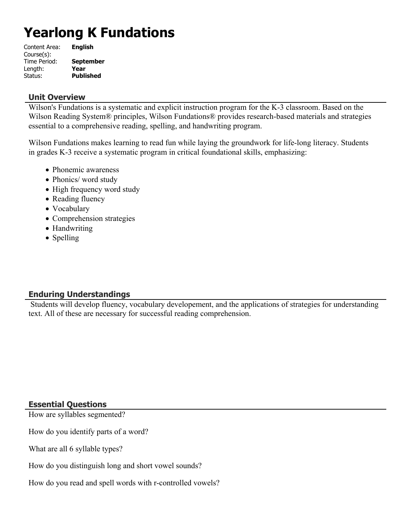# **Yearlong K Fundations**

| Content Area: | <b>English</b>   |
|---------------|------------------|
| Course(s):    |                  |
| Time Period:  | <b>September</b> |
| Length:       | Year             |
| Status:       | <b>Published</b> |

#### **Unit Overview**

Wilson's Fundations is a systematic and explicit instruction program for the K-3 classroom. Based on the Wilson Reading System® principles, Wilson Fundations® provides research-based materials and strategies essential to a comprehensive reading, spelling, and handwriting program.

Wilson Fundations makes learning to read fun while laying the groundwork for life-long literacy. Students in grades K-3 receive a systematic program in critical foundational skills, emphasizing:

- Phonemic awareness
- Phonics/ word study
- High frequency word study
- Reading fluency
- Vocabulary
- Comprehension strategies
- Handwriting
- Spelling

## **Enduring Understandings**

 Students will develop fluency, vocabulary developement, and the applications of strategies for understanding text. All of these are necessary for successful reading comprehension.

## **Essential Questions**

How are syllables segmented?

How do you identify parts of a word?

What are all 6 syllable types?

How do you distinguish long and short vowel sounds?

How do you read and spell words with r-controlled vowels?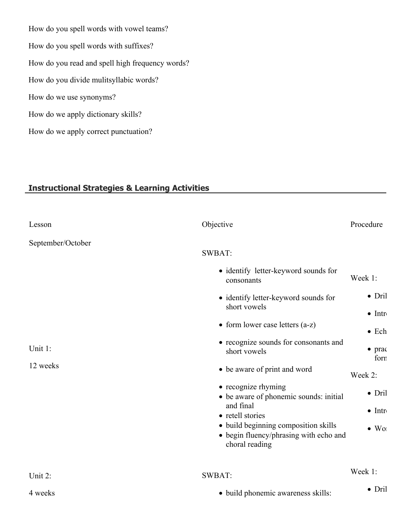How do you spell words with vowel teams? How do you spell words with suffixes? How do you read and spell high frequency words? How do you divide mulitsyllabic words? How do we use synonyms? How do we apply dictionary skills? How do we apply correct punctuation?

# **Instructional Strategies & Learning Activities**

| Lesson            | Objective                                                                                        | Procedure              |
|-------------------|--------------------------------------------------------------------------------------------------|------------------------|
| September/October |                                                                                                  |                        |
|                   | <b>SWBAT:</b>                                                                                    |                        |
|                   | • identify letter-keyword sounds for<br>consonants                                               | Week 1:                |
|                   | • identify letter-keyword sounds for                                                             | $\bullet$ Dril         |
|                   | short vowels                                                                                     | $\bullet$ Intr         |
|                   | • form lower case letters $(a-z)$                                                                | $\bullet$ Ech          |
| Unit 1:           | • recognize sounds for consonants and<br>short vowels                                            | $\bullet$ prac<br>forn |
| 12 weeks          | • be aware of print and word                                                                     | Week 2:                |
|                   | • recognize rhyming<br>• be aware of phonemic sounds: initial                                    | $\bullet$ Dril         |
|                   | and final<br>• retell stories                                                                    | $\bullet$ Intr         |
|                   | · build beginning composition skills<br>• begin fluency/phrasing with echo and<br>choral reading | $\bullet$ Wol          |
| Unit 2:           | <b>SWBAT:</b>                                                                                    | Week 1:                |
| 4 weeks           | · build phonemic awareness skills:                                                               | $\bullet$ Dril         |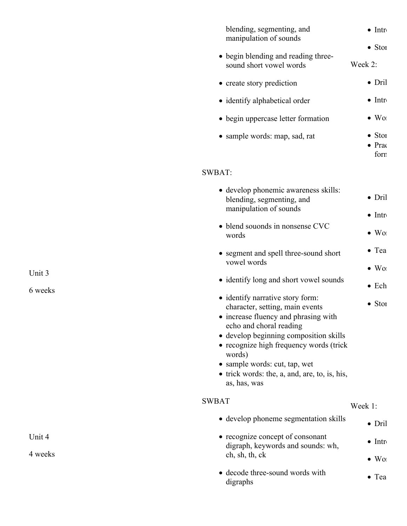| blending, segmenting, and<br>manipulation of sounds<br>• begin blending and reading three-<br>sound short vowel words<br>• create story prediction<br>• identify alphabetical order<br>• begin uppercase letter formation                                                                                                               | $\bullet$ Intr<br>$\bullet$ Stor<br>Week 2:<br>$\bullet$ Dril<br>$\bullet$ Intr<br>$\bullet$ Wor |
|-----------------------------------------------------------------------------------------------------------------------------------------------------------------------------------------------------------------------------------------------------------------------------------------------------------------------------------------|--------------------------------------------------------------------------------------------------|
| • sample words: map, sad, rat                                                                                                                                                                                                                                                                                                           | $\bullet$ Stor<br>$\bullet$ Prac<br>forn                                                         |
| <b>SWBAT:</b>                                                                                                                                                                                                                                                                                                                           |                                                                                                  |
| • develop phonemic awareness skills:<br>blending, segmenting, and<br>manipulation of sounds                                                                                                                                                                                                                                             | $\bullet$ Dril<br>$\bullet$ Intr                                                                 |
| • blend souonds in nonsense CVC<br>words                                                                                                                                                                                                                                                                                                | $\bullet$ Wor                                                                                    |
| • segment and spell three-sound short<br>vowel words<br>• identify long and short vowel sounds<br>• identify narrative story form:<br>character, setting, main events<br>• increase fluency and phrasing with<br>echo and choral reading<br>• develop beginning composition skills<br>• recognize high frequency words (trick<br>words) | $\bullet$ Tea<br>$\bullet$ Wor<br>$\bullet$ Ech<br>$\bullet$ Stor                                |
| • sample words: cut, tap, wet<br>• trick words: the, a, and, are, to, is, his,<br>as, has, was                                                                                                                                                                                                                                          |                                                                                                  |
| <b>SWBAT</b>                                                                                                                                                                                                                                                                                                                            | Week 1:                                                                                          |
| • develop phoneme segmentation skills                                                                                                                                                                                                                                                                                                   | $\bullet$ Dril                                                                                   |
| • recognize concept of consonant<br>digraph, keywords and sounds: wh,                                                                                                                                                                                                                                                                   | $\bullet$ Intr                                                                                   |
| ch, sh, th, ck                                                                                                                                                                                                                                                                                                                          | $\bullet$ Wor                                                                                    |

Unit 3

6 weeks

Unit 4

4 weeks

- 
- decode three-sound words with digraphs  $\bullet$  Tea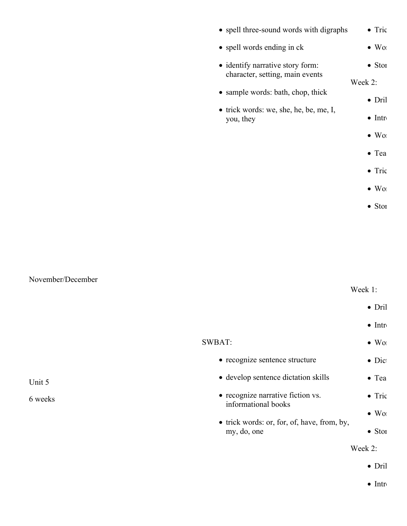| • spell three-sound words with digraphs             | $\bullet$ Tric |
|-----------------------------------------------------|----------------|
| • spell words ending in ck                          | $\bullet$ Wo   |
| • identify narrative story form:                    | $\bullet$ Stor |
| character, setting, main events                     | Week 2:        |
| • sample words: bath, chop, thick                   | $\bullet$ Dril |
| • trick words: we, she, he, be, me, I,<br>you, they | $\bullet$ Intr |
|                                                     | $\bullet$ Wor  |
|                                                     | $\bullet$ Tea  |
|                                                     | $\bullet$ Tric |
|                                                     | $\bullet$ Wor  |
|                                                     | $\bullet$ Stor |

## November/December

Unit 5

6 weeks

## Week 1:

|                                                          | $\bullet$ Dril |
|----------------------------------------------------------|----------------|
|                                                          | $\bullet$ Intr |
| SWBAT:                                                   | $\bullet$ Wo   |
| • recognize sentence structure                           | $\bullet$ Dict |
| • develop sentence dictation skills                      | $\bullet$ Tea  |
| • recognize narrative fiction vs.<br>informational books | $\bullet$ Tric |
| $\bullet$ trick words: or, for, of, have, from, by,      | $\bullet$ Wor  |
| my, do, one                                              | $\bullet$ Stor |
|                                                          | Week 2:        |
|                                                          |                |

 $\bullet$  Dril

 $\bullet$  Introduce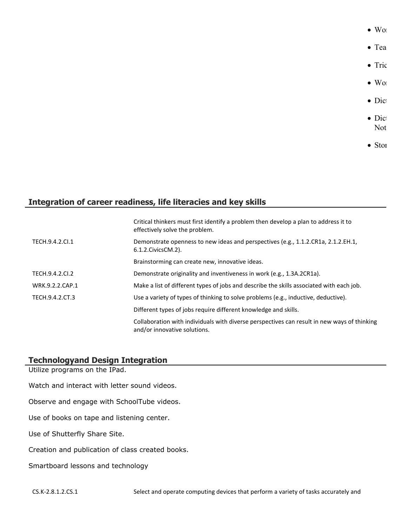- $\bullet$  Word  $\bullet$  Tea  $\bullet$  Tric
	- $\bullet$  Word
- $\bullet$  Dict
- $\bullet$  Dict Not
- 
- $\bullet$  Stor

# **Integration of career readiness, life literacies and key skills**

|                 | Critical thinkers must first identify a problem then develop a plan to address it to<br>effectively solve the problem.      |
|-----------------|-----------------------------------------------------------------------------------------------------------------------------|
| TECH.9.4.2.Cl.1 | Demonstrate openness to new ideas and perspectives (e.g., 1.1.2.CR1a, 2.1.2.EH.1,<br>6.1.2. Civics CM. 2).                  |
|                 | Brainstorming can create new, innovative ideas.                                                                             |
| TECH.9.4.2.CI.2 | Demonstrate originality and inventiveness in work (e.g., 1.3A.2CR1a).                                                       |
| WRK.9.2.2.CAP.1 | Make a list of different types of jobs and describe the skills associated with each job.                                    |
| TECH.9.4.2.CT.3 | Use a variety of types of thinking to solve problems (e.g., inductive, deductive).                                          |
|                 | Different types of jobs require different knowledge and skills.                                                             |
|                 | Collaboration with individuals with diverse perspectives can result in new ways of thinking<br>and/or innovative solutions. |

## **Technologyand Design Integration**

Utilize programs on the IPad.

Watch and interact with letter sound videos.

Observe and engage with SchoolTube videos.

Use of books on tape and listening center.

Use of Shutterfly Share Site.

Creation and publication of class created books.

Smartboard lessons and technology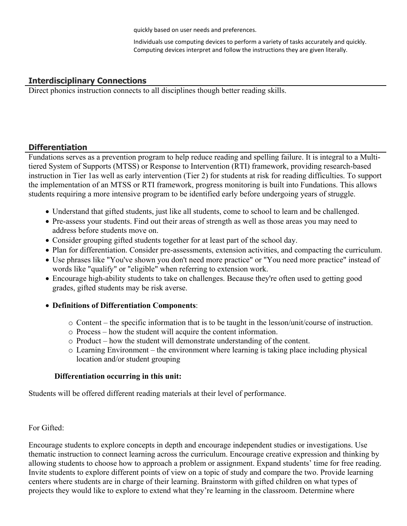quickly based on user needs and preferences.

Individuals use computing devices to perform a variety of tasks accurately and quickly. Computing devices interpret and follow the instructions they are given literally.

## **Interdisciplinary Connections**

Direct phonics instruction connects to all disciplines though better reading skills.

## **Differentiation**

Fundations serves as a prevention program to help reduce reading and spelling failure. It is integral to a Multitiered System of Supports (MTSS) or Response to Intervention (RTI) framework, providing research-based instruction in Tier 1as well as early intervention (Tier 2) for students at risk for reading difficulties. To support the implementation of an MTSS or RTI framework, progress monitoring is built into Fundations. This allows students requiring a more intensive program to be identified early before undergoing years of struggle.

- Understand that gifted students, just like all students, come to school to learn and be challenged.
- Pre-assess your students. Find out their areas of strength as well as those areas you may need to address before students move on.
- Consider grouping gifted students together for at least part of the school day.
- Plan for differentiation. Consider pre-assessments, extension activities, and compacting the curriculum.
- Use phrases like "You've shown you don't need more practice" or "You need more practice" instead of words like "qualify" or "eligible" when referring to extension work.
- Encourage high-ability students to take on challenges. Because they're often used to getting good grades, gifted students may be risk averse.
- **Definitions of Differentiation Components**:
	- $\circ$  Content the specific information that is to be taught in the lesson/unit/course of instruction.
	- o Process how the student will acquire the content information.
	- o Product how the student will demonstrate understanding of the content.
	- o Learning Environment the environment where learning is taking place including physical location and/or student grouping

## **Differentiation occurring in this unit:**

Students will be offered different reading materials at their level of performance.

For Gifted:

Encourage students to explore concepts in depth and encourage independent studies or investigations. Use thematic instruction to connect learning across the curriculum. Encourage creative expression and thinking by allowing students to choose how to approach a problem or assignment. Expand students' time for free reading. Invite students to explore different points of view on a topic of study and compare the two. Provide learning centers where students are in charge of their learning. Brainstorm with gifted children on what types of projects they would like to explore to extend what they're learning in the classroom. Determine where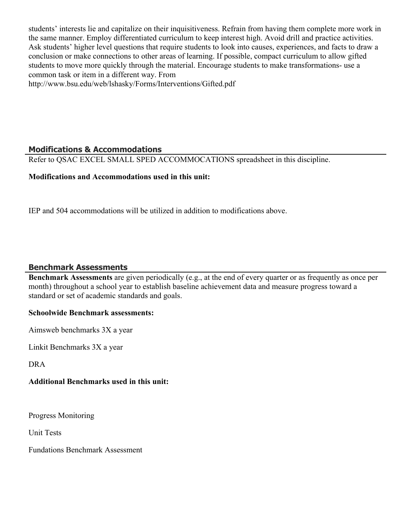students' interests lie and capitalize on their inquisitiveness. Refrain from having them complete more work in the same manner. Employ differentiated curriculum to keep interest high. Avoid drill and practice activities. Ask students' higher level questions that require students to look into causes, experiences, and facts to draw a conclusion or make connections to other areas of learning. If possible, compact curriculum to allow gifted students to move more quickly through the material. Encourage students to make transformations- use a common task or item in a different way. From

http://www.bsu.edu/web/lshasky/Forms/Interventions/Gifted.pdf

## **Modifications & Accommodations**

Refer to QSAC EXCEL SMALL SPED ACCOMMOCATIONS spreadsheet in this discipline.

## **Modifications and Accommodations used in this unit:**

IEP and 504 accommodations will be utilized in addition to modifications above.

## **Benchmark Assessments**

**Benchmark Assessments** are given periodically (e.g., at the end of every quarter or as frequently as once per month) throughout a school year to establish baseline achievement data and measure progress toward a standard or set of academic standards and goals.

#### **Schoolwide Benchmark assessments:**

Aimsweb benchmarks 3X a year

Linkit Benchmarks 3X a year

DRA

## **Additional Benchmarks used in this unit:**

Progress Monitoring

Unit Tests

Fundations Benchmark Assessment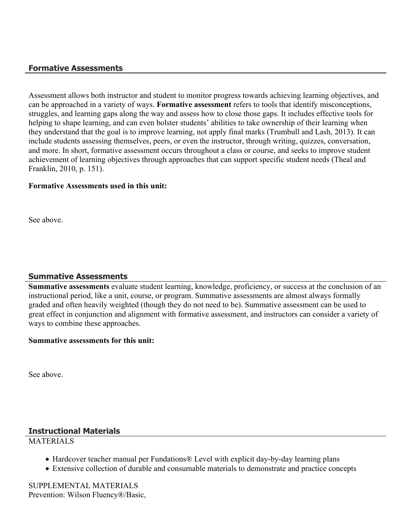## **Formative Assessments**

Assessment allows both instructor and student to monitor progress towards achieving learning objectives, and can be approached in a variety of ways. **Formative assessment** refers to tools that identify misconceptions, struggles, and learning gaps along the way and assess how to close those gaps. It includes effective tools for helping to shape learning, and can even bolster students' abilities to take ownership of their learning when they understand that the goal is to improve learning, not apply final marks (Trumbull and Lash, 2013). It can include students assessing themselves, peers, or even the instructor, through writing, quizzes, conversation, and more. In short, formative assessment occurs throughout a class or course, and seeks to improve student achievement of learning objectives through approaches that can support specific student needs (Theal and Franklin, 2010, p. 151).

#### **Formative Assessments used in this unit:**

See above.

## **Summative Assessments**

**Summative assessments** evaluate student learning, knowledge, proficiency, or success at the conclusion of an instructional period, like a unit, course, or program. Summative assessments are almost always formally graded and often heavily weighted (though they do not need to be). Summative assessment can be used to great effect in conjunction and alignment with formative assessment, and instructors can consider a variety of ways to combine these approaches.

#### **Summative assessments for this unit:**

See above.

## **Instructional Materials**

## **MATERIALS**

- Hardcover teacher manual per Fundations® Level with explicit day-by-day learning plans
- Extensive collection of durable and consumable materials to demonstrate and practice concepts

SUPPLEMENTAL MATERIALS Prevention: Wilson Fluency®/Basic,